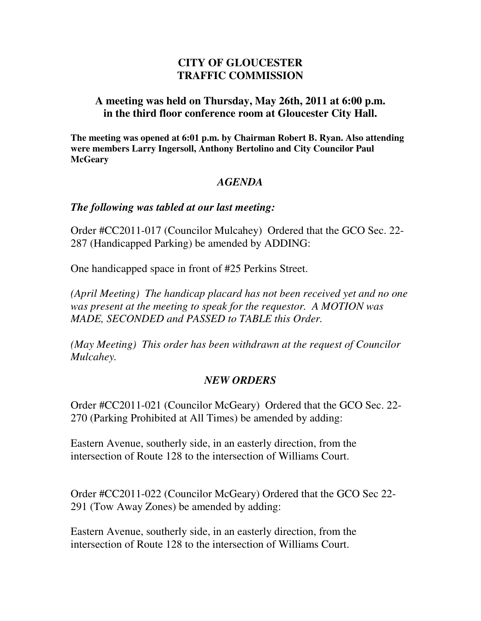# **CITY OF GLOUCESTER TRAFFIC COMMISSION**

### **A meeting was held on Thursday, May 26th, 2011 at 6:00 p.m. in the third floor conference room at Gloucester City Hall.**

**The meeting was opened at 6:01 p.m. by Chairman Robert B. Ryan. Also attending were members Larry Ingersoll, Anthony Bertolino and City Councilor Paul McGeary** 

## *AGENDA*

### *The following was tabled at our last meeting:*

Order #CC2011-017 (Councilor Mulcahey) Ordered that the GCO Sec. 22- 287 (Handicapped Parking) be amended by ADDING:

One handicapped space in front of #25 Perkins Street.

*(April Meeting) The handicap placard has not been received yet and no one was present at the meeting to speak for the requestor. A MOTION was MADE, SECONDED and PASSED to TABLE this Order.* 

*(May Meeting) This order has been withdrawn at the request of Councilor Mulcahey.* 

### *NEW ORDERS*

Order #CC2011-021 (Councilor McGeary) Ordered that the GCO Sec. 22- 270 (Parking Prohibited at All Times) be amended by adding:

Eastern Avenue, southerly side, in an easterly direction, from the intersection of Route 128 to the intersection of Williams Court.

Order #CC2011-022 (Councilor McGeary) Ordered that the GCO Sec 22- 291 (Tow Away Zones) be amended by adding:

Eastern Avenue, southerly side, in an easterly direction, from the intersection of Route 128 to the intersection of Williams Court.